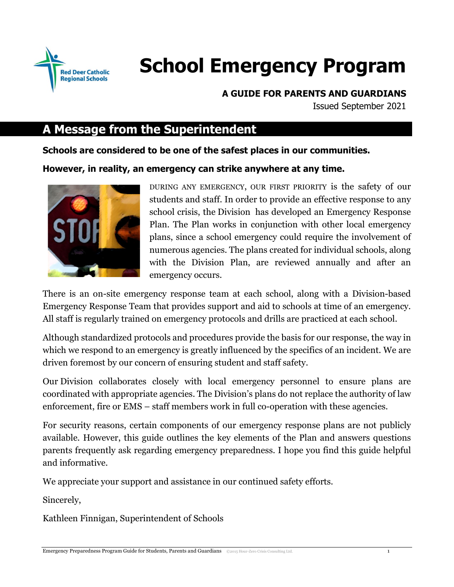

# **School Emergency Program**

**A GUIDE FOR PARENTS AND GUARDIANS**

Issued September 2021

# **A Message from the Superintendent**

**Schools are considered to be one of the safest places in our communities.**

**However, in reality, an emergency can strike anywhere at any time.**



DURING ANY EMERGENCY, OUR FIRST PRIORITY is the safety of our students and staff. In order to provide an effective response to any school crisis, the Division has developed an Emergency Response Plan. The Plan works in conjunction with other local emergency plans, since a school emergency could require the involvement of numerous agencies. The plans created for individual schools, along with the Division Plan, are reviewed annually and after an emergency occurs.

There is an on-site emergency response team at each school, along with a Division-based Emergency Response Team that provides support and aid to schools at time of an emergency. All staff is regularly trained on emergency protocols and drills are practiced at each school.

Although standardized protocols and procedures provide the basis for our response, the way in which we respond to an emergency is greatly influenced by the specifics of an incident. We are driven foremost by our concern of ensuring student and staff safety.

Our Division collaborates closely with local emergency personnel to ensure plans are coordinated with appropriate agencies. The Division's plans do not replace the authority of law enforcement, fire or EMS – staff members work in full co-operation with these agencies.

For security reasons, certain components of our emergency response plans are not publicly available. However, this guide outlines the key elements of the Plan and answers questions parents frequently ask regarding emergency preparedness. I hope you find this guide helpful and informative.

We appreciate your support and assistance in our continued safety efforts.

Sincerely,

Kathleen Finnigan, Superintendent of Schools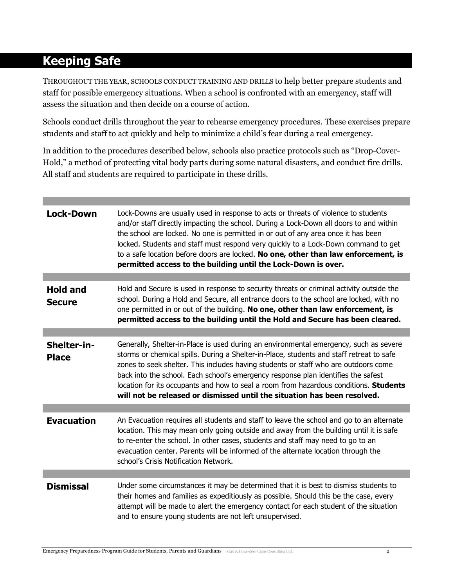# **Keeping Safe**

THROUGHOUT THE YEAR, SCHOOLS CONDUCT TRAINING AND DRILLS to help better prepare students and staff for possible emergency situations. When a school is confronted with an emergency, staff will assess the situation and then decide on a course of action.

Schools conduct drills throughout the year to rehearse emergency procedures. These exercises prepare students and staff to act quickly and help to minimize a child's fear during a real emergency.

In addition to the procedures described below, schools also practice protocols such as "Drop-Cover-Hold," a method of protecting vital body parts during some natural disasters, and conduct fire drills. All staff and students are required to participate in these drills.

| <b>Lock-Down</b>                 | Lock-Downs are usually used in response to acts or threats of violence to students<br>and/or staff directly impacting the school. During a Lock-Down all doors to and within<br>the school are locked. No one is permitted in or out of any area once it has been<br>locked. Students and staff must respond very quickly to a Lock-Down command to get<br>to a safe location before doors are locked. No one, other than law enforcement, is<br>permitted access to the building until the Lock-Down is over.                     |
|----------------------------------|------------------------------------------------------------------------------------------------------------------------------------------------------------------------------------------------------------------------------------------------------------------------------------------------------------------------------------------------------------------------------------------------------------------------------------------------------------------------------------------------------------------------------------|
|                                  |                                                                                                                                                                                                                                                                                                                                                                                                                                                                                                                                    |
| <b>Hold and</b><br><b>Secure</b> | Hold and Secure is used in response to security threats or criminal activity outside the<br>school. During a Hold and Secure, all entrance doors to the school are locked, with no<br>one permitted in or out of the building. No one, other than law enforcement, is<br>permitted access to the building until the Hold and Secure has been cleared.                                                                                                                                                                              |
|                                  |                                                                                                                                                                                                                                                                                                                                                                                                                                                                                                                                    |
| Shelter-in-<br><b>Place</b>      | Generally, Shelter-in-Place is used during an environmental emergency, such as severe<br>storms or chemical spills. During a Shelter-in-Place, students and staff retreat to safe<br>zones to seek shelter. This includes having students or staff who are outdoors come<br>back into the school. Each school's emergency response plan identifies the safest<br>location for its occupants and how to seal a room from hazardous conditions. Students<br>will not be released or dismissed until the situation has been resolved. |
|                                  |                                                                                                                                                                                                                                                                                                                                                                                                                                                                                                                                    |
| <b>Evacuation</b>                | An Evacuation requires all students and staff to leave the school and go to an alternate<br>location. This may mean only going outside and away from the building until it is safe<br>to re-enter the school. In other cases, students and staff may need to go to an<br>evacuation center. Parents will be informed of the alternate location through the<br>school's Crisis Notification Network.                                                                                                                                |
|                                  |                                                                                                                                                                                                                                                                                                                                                                                                                                                                                                                                    |
| <b>Dismissal</b>                 | Under some circumstances it may be determined that it is best to dismiss students to<br>their homes and families as expeditiously as possible. Should this be the case, every<br>attempt will be made to alert the emergency contact for each student of the situation<br>and to ensure young students are not left unsupervised.                                                                                                                                                                                                  |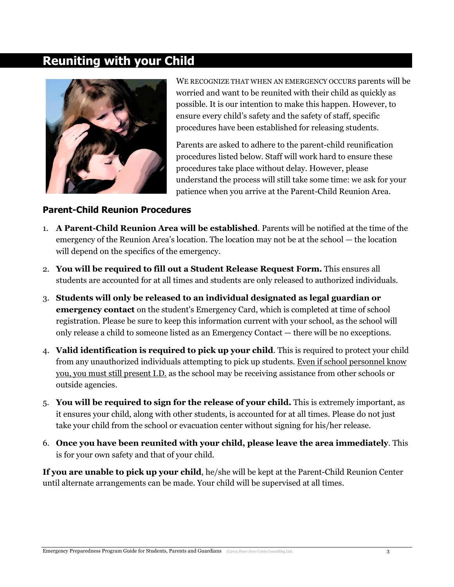# **Reuniting with your Child**



WE RECOGNIZE THAT WHEN AN EMERGENCY OCCURS parents will be worried and want to be reunited with their child as quickly as possible. It is our intention to make this happen. However, to ensure every child's safety and the safety of staff, specific procedures have been established for releasing students.

Parents are asked to adhere to the parent-child reunification procedures listed below. Staff will work hard to ensure these procedures take place without delay. However, please understand the process will still take some time: we ask for your patience when you arrive at the Parent-Child Reunion Area.

## **Parent-Child Reunion Procedures**

- 1. **A Parent-Child Reunion Area will be established**. Parents will be notified at the time of the emergency of the Reunion Area's location. The location may not be at the school — the location will depend on the specifics of the emergency.
- 2. **You will be required to fill out a Student Release Request Form.** This ensures all students are accounted for at all times and students are only released to authorized individuals.
- 3. **Students will only be released to an individual designated as legal guardian or emergency contact** on the student's Emergency Card, which is completed at time of school registration. Please be sure to keep this information current with your school, as the school will only release a child to someone listed as an Emergency Contact — there will be no exceptions.
- 4. **Valid identification is required to pick up your child**. This is required to protect your child from any unauthorized individuals attempting to pick up students. Even if school personnel know you, you must still present I.D. as the school may be receiving assistance from other schools or outside agencies.
- 5. **You will be required to sign for the release of your child.** This is extremely important, as it ensures your child, along with other students, is accounted for at all times. Please do not just take your child from the school or evacuation center without signing for his/her release.
- 6. **Once you have been reunited with your child, please leave the area immediately**. This is for your own safety and that of your child.

**If you are unable to pick up your child**, he/she will be kept at the Parent-Child Reunion Center until alternate arrangements can be made. Your child will be supervised at all times.